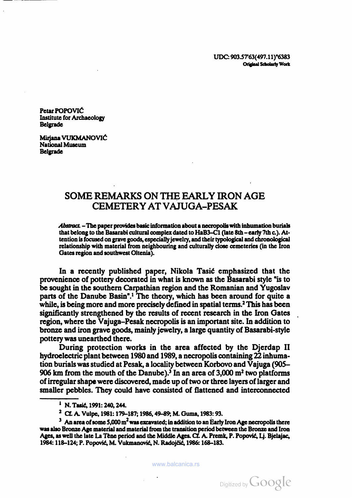UDC: 903.5763(497.1 1)"6383 Original Scholarly Work

Petar POPOVIĆ Institute for Archaeology Belgrade

Mirjana VUKMANOVIÓ National Museum Belgrade

# SOME REMARKS ON THE EARLY IRON AGE CEMETERY AT VAJUGA-PESAK

Abstract. -The paper provides basic information about a necropolis with inhumation burials that belong to the Basarabi cultural complex dated to HaB3-C1 (late 8th - early 7th c.). Attention is focused on grave goods, especially jewelry, and their typological and chronological relationship with material from neighbouring and culturally close cemeteries (in the Iron Gates region and southwest Oltenia).

In a recently published paper, Nikola Tasic emphasized that the provenience of pottery decorated in what is known as the Basarabi style "is to be sought in the southern Carpathian region and the Romanian and Yugoslav parts of the Danube Basin".1 The theory, which has been around for quite a while, is being more and more precisely defined in spatial terms.<sup>2</sup> This has been significantly strengthened by the results of recent research in the Iron Gates region, where the Vajuga-Pesak necropolis is an important site. In addition to bronze and iron grave goods, mainly jewelry, a large quantity of Basarabi-style pottery was unearthed there.

During protection works in the area affected by the Djerdap II hydroelectric plant between 1980 and 1989, a necropolis containing 22 inhuma tion burials was studied at Pesak, a locality between Korbovo and Vajuga (905- 906 km from the mouth of the Danube).<sup>3</sup> In an area of  $3,000$  m<sup>2</sup> two platforms of irregular shape were discovered, made up of two or three layers of larger and smaller pebbles. They could have consisted of flattened and interconnected

<sup>&</sup>lt;sup>1</sup> N. Tasić, 1991: 240, 244.

<sup>2</sup> Cf. A. Vulpe, 1981: 179-187; 1986, 49-89; M. Guma, 1983: 93.

 $3$  An area of some 5,000 m<sup>2</sup> was excavated; in addition to an Early Iron Age necropolis there was also Bronze Age material and material from the transition period between the Bronze and Iron Ages, as well the late La Teñe period and the Middle Ages. Cf. A. Premk, P. Popovié, Lj. Bjelajac, 1984: 118-124; P. Popovié, M. Vukmanovid, N. Radojíií, 1986: 168-183.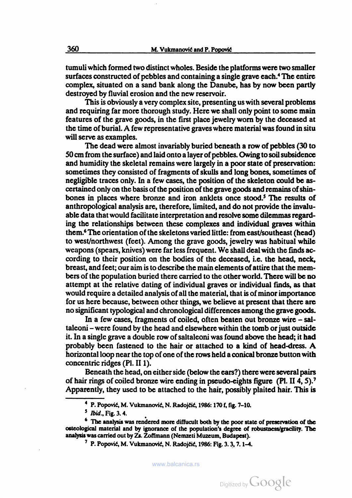tumuli which formed two distinct wholes. Beside the platforms were two smaller surfaces constructed of pebbles and containing a single grave each.<sup>4</sup> The entire complex, situated on a sand bank along the Danube, has by now been partly destroyed by fluvial erosion and the new reservoir.

This is obviously a very complex site, presenting us with several problems and requiring far more thorough study. Here we shall only point to some main features of the grave goods, in the first place jewelry worn by the deceased at the time of burial. A few representative graves where material was found in situ will serve as examples.

The dead were almost invariably buried beneath a row of pebbles (30 to 50 cm from the surface) and laid onto <sup>a</sup> layer of pebbles. Owing to soil subsidence and humidity the skeletal remains were largely in a poor state of preservation: sometimes they consisted of fragments of skulls and long bones, sometimes of negligible traces only. In a few cases, the position of the skeleton could be as certained only on the basis of the position of the grave goods and remains of shinbones in places where bronze and iron anklets once stood.<sup>5</sup> The results of anthropological analysis are, therefore, limited, and do not provide the invalu able data that would facilitate interpretation and resolve some dilemmas regard ing the relationships between these complexes and individual graves within them.6 The orientation of the skeletons varied little: from east/southeast (head) to west/northwest (feet). Among the grave goods, jewelry was habitual while weapons (spears, knives) were far less frequent. We shall deal with the finds ac cording to their position on the bodies of the deceased, i.e. the head, neck, breast, and feet; our aim is to describe the main elements of attire that the mem bers of the population buried there carried to the other world. There will be no attempt at the relative dating of individual graves or individual finds, as that would require a detailed analysis of all the material, that is of minor importance for us here because, between other things, we believe at present that there are no significant typological and chronological differences among the grave goods.

In a few cases, fragments of coiled, often beaten out bronze wire - saltaleoni - were found by the head and elsewhere within the tomb or just outside it. In a single grave a double row of saltaleoni was found above the head; it had probably been fastened to the hair or attached to <sup>a</sup> kind of head-dress. A horizontal loop near the top of one of the rows held a conical bronze button with concentric ridges (PI. II 1).

Beneath the head, on either side (below the ears?) there were several pairs of hair rings of coiled bronze wire ending in pseudo-eights figure (PI. II 4, 5).7 Apparently, they used to be attached to the hair, possibly plaited hair. This is

<sup>&</sup>lt;sup>4</sup> P. Popović, M. Vukmanović, N. Radojčić, 1986: 170 f, fig. 7-10.

 $5$  *Ibid.*, Fig. 3. 4.

<sup>&</sup>lt;sup>6</sup> The analysis was rendered more diffucult both by the poor state of preservation of the osteológica! material and by ignorance of the population's degree of robustness/gracility. The analysis was carried out by Zs. Zoffmann (Nemzeti Muzeum, Budapest).

<sup>&</sup>lt;sup>7</sup> P. Popović, M. Vukmanović, N. Radojčić, 1986: Fig. 3. 3, 7. 1-4.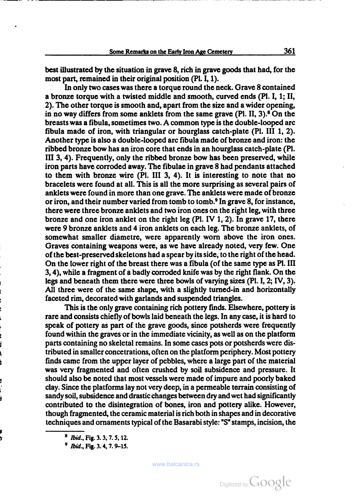best illustrated by the situation in grave 8, rich in grave goods that had, for the most part, remained in their original position (Pl. I, 1).

In only two cases was there a torque round the neck. Grave 8 contained a bronze torque with a twisted middle and smooth, curved ends (PI. I, 1; II, 2). The other torque is smooth and, apart from the size and a wider opening, in no way differs from some anklets from the same grave  $(P1, II, 3)$ .<sup>8</sup> On the breasts was <sup>a</sup> fibula, sometimes two. A common type is the double-looped arc fibula made of iron, with triangular or hourglass catch-plate (PI. Ill 1, 2). Another type is also a double-looped arc fibula made of bronze and iron: the ribbed bronze bow has an iron core that ends in an hourglass catch-plate (PI. Ill 3, 4). Frequently, only the ribbed bronze bow has been preserved, while iron parts have corroded away. The fibulae in grave 8 had pendants attached to them with bronze wire (PI. Ill 3, 4). It is interesting to note that no bracelets were found at all. This is all the more surprising as several pairs of anklets were found in more than one grave. The anklets were made of bronze or iron, and their number varied from tomb to tomb.9 In grave 8, for instance, there were three bronze anklets and two iron ones on the right leg, with three bronze and one iron anklet on the right leg (PI. IV 1, 2). In grave 17, there were 9 bronze anklets and 4 iron anklets on each leg. The bronze anklets, of somewhat smaller diametre, were apparently worn above the iron ones. Graves containing weapons were, as we have already noted, very few. One of the best-preserved skeletons had a spear by its side, to the right of the head. On the lower right of the breast there was <sup>a</sup> fibula (of the same type as PI. Ill 3, 4), while <sup>a</sup> fragment of <sup>a</sup> badly corroded knife was by the right flank. On the legs and beneath them there were three bowls of varying sizes (PI. I, 2; IV, 3). All three were of the same shape, with a slightly turned-in and horizontally faceted rim, decorated with garlands and suspended triangles.

This is the only grave containing rich pottery finds. Elsewhere, pottery is rare and consists chiefly of bowls laid beneath the legs. In any case, it is hard to speak of pottery as part of the grave goods, since potsherds were frequently found within the graves or in the immediate vicinity, as well as on the platform parts containing no skeletal remains. In some cases pots or potsherds were dis tributed in smaller concetrations, often on the platform periphery. Most pottery finds came from the upper layer of pebbles, where a large part of the material was very fragmented and often crushed by soil subsidence and pressure. It should also be noted that most vessels were made of impure and poorly baked clay. Since the platforms lay not very deep, in a permeable terrain consisting of sandy soil, subsidence and drastic changes between dry and wet had significantly contributed to the disintegration of bones, iron and pottery alike. However, though fragmented, the ceramic material is rich both in shapes and in decorative techniques and ornaments typical of the Basarabi style: "S" stamps, incision, the

<sup>&</sup>lt;sup>8</sup> *Ibid.*, Fig. 3. 3, 7. 5, 12.

<sup>4</sup> Ibid., Fig. 3. 4, 7. 9-15.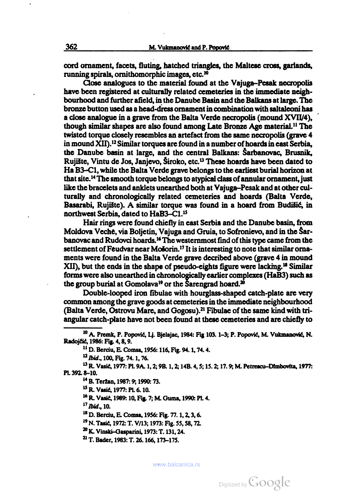cord ornament, facets, fluting, hatched triangles, the Maltese cross, garlands, running spirals, ornithomorphic images, etc.10

Close analogues to the material found at the Vajuga-Pesak necropolis have been registered at culturally related cemeteries in the immediate neigh bourhood and further afield, in the Danube Basin and the Balkans at large. The bronze button used as a head-dress ornament in combination with saltaleoni has a close analogue in a grave from the Balta Verde necropolis (mound XVII/4), though similar shapes are also found among Late Bronze Age material.11 The twisted torque closely resembles an artefact from the same necropolis (grave 4 in mound XII).12 Similar torques are found in a number of hoards in east Serbia, the Danube basin at large, and the central Balkans: Sarbanovac, Brusnik, Rujište, Vintu de Jos, Janjevo, Široko, etc.<sup>13</sup> These hoards have been dated to На ВЗ-С1, while the Balta Verde grave belongs to the earliest burial horizon at that site.14 The smooth torque belongs to atypical class of annular ornament, just like the bracelets and anklets unearthed both at Vajuga-Pesak and at other cul turally and chronologically related cemeteries and hoards (Balta Verde, Basarabi, Rujište). A similar torque was found in a hoard from Budišić, in northwest Serbia, dated to HaB3-Cl.15

Hair rings were found chiefly in east Serbia and the Danube basin, from Moldova Veche, via Boljetin, Vajuga and Gruía, to Sofronievo, and in the §arbanovac and Rudovci hoards.16 The westernmost find of this type came from the settlement of Feudvar near Mošorin.<sup>17</sup> It is interesting to note that similar ornaments were found in the Balta Verde grave decribed above (grave 4 in mound XII), but the ends in the shape of pseudo-eights figure were lacking.18 Similar forms were also unearthed in chronologically earlier complexes (НаВЗ) such as the group burial at Gomolava<sup>19</sup> or the Sarengrad hoard.<sup>20</sup>

Double-looped iron fibulae with hourglass-shaped catch-plate are very common among the grave goods at cemeteries in the immediate neighbourhood (Balta Verde, Ostrovu Mare, and Gogosu).<sup>21</sup> Fibulae of the same kind with triangular catch-plate have not been found at these cemeteries and are chiefly to

 $17$  Ibid., 10.

<sup>&</sup>lt;sup>10</sup> A. Premk, P. Popović, Lj. Bjelajac, 1984: Fig 103. 1-3; P. Popović, M. Vukmanović, N. Radojčić, 1986: Fig. 4, 8, 9.

<sup>11</sup> D. Berciu, E. Comsa, 1956: 116, Fig. 94. 1, 74. 4.

<sup>&</sup>lt;sup>12</sup> Ibid., 100, Fig. 74. 1, 76.

<sup>13</sup> R. Vasié, 1977: PI. 9A. 1, 2; 9B. 1, 2; 14B. 4, 5; 15. 2; 17. 9; M. Peirescu-Dtmbovita, 1977: PI. 392. 8-10.

<sup>14</sup> B. Tertan, 1987: 9; 1990: 73.

<sup>15</sup> R. Vasic, 1977: PI. 6. 10.

<sup>16</sup> R. Vasic, 1989: 10, Fig. 7; M. Guma, 1990: PI. 4.

<sup>&</sup>lt;sup>18</sup> D. Berciu, E. Comsa, 1956: Fig. 77. 1, 2, 3, 6.

<sup>19</sup> N. Tasié, 1972: T. V/13; 1973: Fig. 55, 58, 72.

<sup>20</sup> K. Vinski-Gasparini, 1973: T. 131, 24.

<sup>21</sup> T. Bader, 1983: T. 26. 166, 173-175.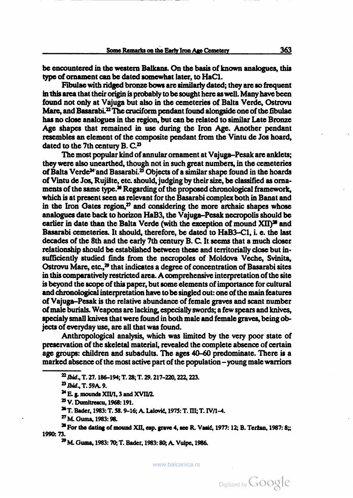be encountered in the western Balkans. On the basis of known analogues, this type of ornament can be dated somewhat later, to HaCl.

Fibulae with ridged bronze bows are similarly dated; they are so frequent in this area that their origin is probably to be sought here as well. Many have been found not only at Vajuga but also in the cemeteries of Balta Verde, Ostrovu Mare, and Basarabi.<sup>22</sup> The cruciform pendant found alongside one of the fibulae has no close analogues in the region, but can be related to similar Late Bronze Age shapes that remained in use during the Iron Age. Another pendant resembles an element of the composite pendant from the Vintu de Jos hoard, dated to the 7th century B.  $C<sup>23</sup>$ 

The most popular kind of annular ornament at Vajuga-Pesak are anklets; they were also unearthed, though not in such great numbers, in the cemeteries of Balta Verde<sup>24</sup> and Basarabi.<sup>25</sup> Objects of a similar shape found in the hoards of Vintu de Jos, RujiSte, etc. should, judging by their size, be classified as orna ments of the same type.<sup>26</sup> Regarding of the proposed chronological framework, which is at present seen as relevant for the Basarabi complex both in Banat and in the Iron Gates region, $27$  and considering the more archaic shapes whose analogues date back to horizon НаВЗ, the Vajuga-Pesak necropolis should be earlier in date than the Balta Verde (with the exception of mound  $XII$ )<sup>28</sup> and Basarabi cemeteries. It should, therefore, be dated to HaB3-Cl, i. e. the last decades of the 8th and the early 7th century В. С. It seems that a much closer relationship should be established between these and territorially close but in sufficiently studied finds from the necropoles of Moldova Veche, Svinita, Ostrovu Mare, etc.,<sup>29</sup> that indicates a degree of concentration of Basarabi sites in this comparatively restricted area. A comprehensive interpretation of the site is beyond the scope of this paper, but some elements of importance for cultural and chronological interpretation have to be singled out: one of the main features of Vajuga-Pesak is the relative abundance of female graves and scant number of male burials. Weapons are lacking, especially swords; a few spears and knives, specialy small knives that were found in both male and female graves, being ob jects of everyday use, are all that was found.

Anthropological analysis, which was limited by the very poor state of preservation of the skeletal material, revealed the complete absence of certain age groups: children and subadults. The ages 40-60 predominate. There is a marked absence of the most active part of the population - young male warriors

 $22$  Ibid., T. 27. 186–194; T. 28; T. 29. 217–220, 222, 223.<br> $B_2$  Ibid., T. 59A. 9.

<sup>&</sup>lt;sup>24</sup> E. g. mounds XII/1, 3 and XVII/2.<br><sup>25</sup> V. Dumitrescu, 1968: 191.

<sup>26</sup> T. Bader, 1983: T. 58. 9-16; A. LaloviE, 1975: T. Ill; T. IV/1-4.

<sup>&</sup>lt;sup>27</sup> M. Guma, 1983: 98.<br><sup>28</sup> For the dating of mound XII, esp. grave 4, see R. Vasić, 1977: 12; B. Teržan, 1987: 8;; 1990: 73.

<sup>&</sup>lt;sup>29</sup> M. Guma, 1983: 70; T. Bader, 1983: 80; A. Vulpe, 1986.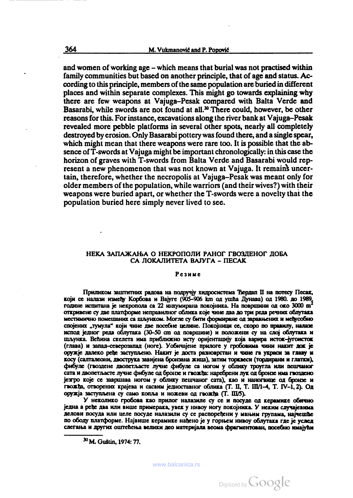and women of working age – which means that burial was not practised within family communities but based on another principle, that of age and status. Ac cording to this principle, members of the same population are buried in different places and within separate complexes. This might go towards explaining why there are few weapons at Vajuga-Pesak compared with Balta Verde and Basarabi, while swords are not found at all.<sup>30</sup> There could, however, be other reasons for this. For instance, excavations along the river bank at Vajuga-Pesak revealed more pebble platforms in several other spots, nearly all completely destroyed by erosion. Only Basarabi pottery was found there, and a single spear, which might mean that there weapons were rare too. It is possible that the absence of T-swords at Vajuga might be important chronologically: in this case the horizon of graves with T-swords from Balta Verde and Basarabi would rep resent a new phenomenon that was not known at Vajuga. It remains uncertain, therefore, whether the necropolis at Vajuga-Pesak was meant only for older members of the population, while warriors (and their wives?) with their weapons were buried apart, or whether the T-swords were a novelty that the population buried here simply never lived to see.

## НЕКА ЗАПАЖАЊА О НЕКРОПОЛИ РАНОГ ГВОЗДЕНОГ ДОБА СА ЛОКАЛИТЕТА ВАЈУГА - ПЕСАК

#### Резиме

Приликом заштитних радова на подручју хидросистема Ђердап II на потесу Песак, који се налази између Корбова и Вајуге (905-906 km од ушћа Дунава) од 1980. до 1989. године испитана је некропола са 22 инхумирана покојника. На површини од око 3000 m<sup>2</sup> откривене су две платформе неправилног облика које чине два до три реда речних облутака<br>местимично помешаних са шљунком. Могле су бити формиране од заравњених и међусобно спојених "тумула" који чине две посебне целине. Покојници се, скоро по правилу, налазе испод jeuiior реда облутака (30-50 cm од површинс) и положени су на ело] облутака и шљунка. Већина скелета има приближно исту оријентацију која варира исток-југоисток (глава) и запад-севсрозапад (ноге). Уобича]ене прилоге у гробовима чини накит док je оружје далеко ређе заступљено. Накит је доста разноврстан и чине га украси за главу и косу (салталеони, двострука завидена бронзана жица), затим торквеси (тордирани и глатки), фибуле (гвоздене двопетласте лучне фибуле са ногом у облику троугла или пешчаног сата и двопетљасте лучне фибуле од бронзе и гвожђа: наребрени лук од бронзе има гвоздено je3rpo Koje се завршава ногом у облику пешчаног сата), као и напогвице од бронзе и гвожђа, отворених крајева и сасвим једноставног облика (Т. II, Т. III/1-4, Т. IV-1, 2). Од оруж;а заступлена су само кошьа <sup>и</sup> пожени од гвожйа (Т. П1/5). <sup>У</sup> неколико гробова као прилог налазиле су се <sup>и</sup> посуде од керамике обично

једна а ређе два или више примерака, увек у нивоу ногу покојника. У неким случајевима делови посуда или целе посуде налазили су се распоређени у мањим групама, најчешће по ободу платформе. Hajeniiie керамике Haheiio je у горном нивоу облутака где je услед слегања и других оштећења велики део материјала веома фрагментован, посебно имајући

www.balcanica.rs

<sup>30</sup> M. Guštin, 1974: 77.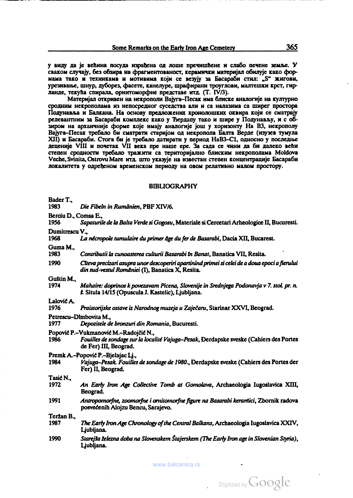у виду да је већина посуда израћена од лоше пречишћене и слабо печене земље. У сваком случају, без обзира на фрагментованост, керамички материјал обилује како формама тако и техникама и мотивима који се везују за Басараби стил: "S" жигови, урсчимаи.е, шнур, дуборез, фасете, канелуре, шрафирани троуглови, малтешки крст, гир ланде, текућа спирала, орнитоморфне представе итд. (T. IV/3).<br>Материјал откривен на некрополи Bajyra-Песак има блиске аналогије на културно

сродним некрополама из непосрсдног суседства али и са налазима са ширег простора Подунавља и Балкана. На основу предложених хронолошких оквира који се сматрају релеваитним за Басараби комплекс како у Ъердапу тако и шире у Подунавлу, и <sup>с</sup> об зиром на архаичније форме које имају аналогије још у хоризонту На ВЗ, некрополу Вајуга-Песак требало би сматрати старијом од некропола Балта Верде (изузев тумула XII) и Басараби. Стога би је требало датирати у период НаВЗ-С1, односно у последње<br>деценије VIII и почетак VII века пре наше ере. За сада се чини да би далеко већи степен сродности требало тражити са тсритори]алпо блиским некрополама Moldova Veche, Svinita, Ostrovu Mare итд. што указује на известан степен концентрације Басараби локалитета у одређеном временском периоду на овом релативно малом простору.

#### **BIBLIOGRAPHY**

| Bader T.,<br>1983            | Die Fibeln in Rumänien, PBF XIV/6.                                                                                                                       |
|------------------------------|----------------------------------------------------------------------------------------------------------------------------------------------------------|
| Berciu D., Comsa E.,<br>1956 | Sapaturile de la Balta Verde si Gogosu, Materiale si Cercetari Arheologice II, Bucuresti.                                                                |
| Dumitrescu V.,<br>1968       | La nécropole tumulaire du primer âge du fer de Basarabi, Dacia XII, Bucarest.                                                                            |
| Guma M<br>1983               | Contributii la cunoasterea culturii Basarabi în Banat, Banatica VII, Resita.                                                                             |
| 1990                         | Clieva precizari asupra unor descoperiri apartinind primei si celei de a doua epoci a fierului<br>din sud-vestul României (I), Banatica X, Resita.       |
| Guštin M.,<br>1974           | Mahaire: doprinos k povezavam Picena, Slovenije in Srednjega Podonavja v 7. stol. pr. n.<br>š. Situla 14/15 (Opuscula J. Kastelic), Ljubljana.           |
| Lalović A.<br>1976           | Praistorijske ostave iz Narodnog muzeja u Zaječaru, Starinar XXVI, Beograd.                                                                              |
| 1977                         | Petrescu-Dimbovita M<br>Depozitele de bronzuri din Romania, Bucuresti.                                                                                   |
| 1986                         | Popović P.–Vukmanović M.–Radojčić N.,<br>Fouilles de sondage sur la localité Vajuga-Pesak, Derdapske sveske (Cahiers des Portes<br>de Fer) III, Beograd. |
| 1984                         | Premk A.-Popović P.-Bjelajac Li.,<br>Vajuga-Pesak. Fouilles de sondage de 1980., Derdapske sveske (Cahiers des Portes der<br>Fer) II, Beograd.           |
| Tasić N.,<br>1972            | An Early Iron Age Collective Tomb at Gomolava, Archaeologia Iugoslavica XIII,<br>Beograd.                                                                |
| 1991                         | Antropomorfne, zoomorfne i ornitomorfne figure na Basarabi keramici, Zbornik radova<br>posvećenih Alojzu Bencu, Sarajevo.                                |
| Teržan B.,<br>1987           | The Early Iron Age Chronology of the Central Balkans, Archaeologia Iugoslavica XXIV,<br>Ljubljana.                                                       |
| 1990                         | Starejša železna doba na Slovenskem Štajerskem (The Early Iron age in Slovenian Styria),<br>Ljubljana.                                                   |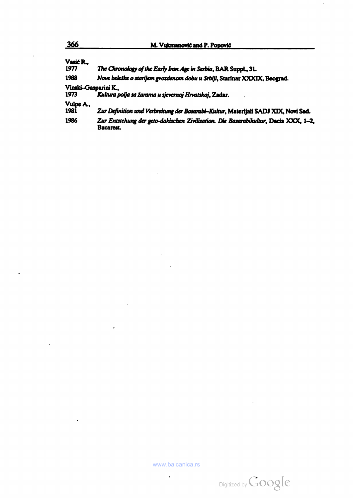| Vasić R.<br>1977             | The Chronology of the Early Iron Age in Serbia, BAR Suppl., 31.                                         |
|------------------------------|---------------------------------------------------------------------------------------------------------|
| 1988                         | Nove beleške o starijem gvozdenom dobu u Srbiji, Starinar XXXIX, Beograd.                               |
| Vinski-Gasparini K.,<br>1973 | Kultura polja sa žarama u sjevernoj Hrvatskoj, Zadar,                                                   |
| Vulpe A.,<br>1981            | Zur Definition und Verbreitung der Basarabi-Kultur, Materijali SADJ XIX, Novi Sad.                      |
| 1986                         | Zur Entstehung der geto-dakischen Zivilisation. Die Basarabikultur, Dacia XXX, 1-2.<br><b>Bucarest.</b> |

 $\ddot{\phantom{a}}$ 

 $\overline{a}$ 

 $\cdot$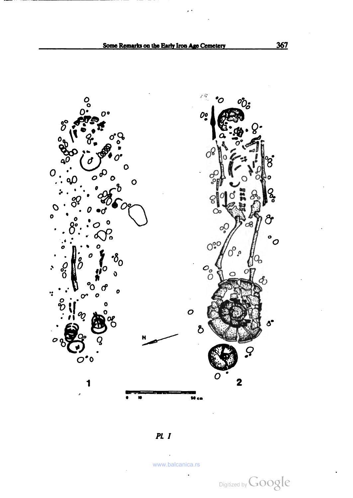

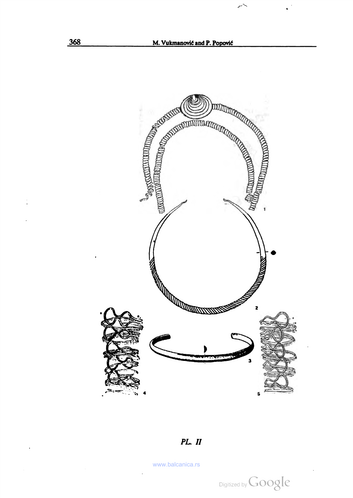

### PL. Il

www.balcanica.rs

 $\ddot{\phantom{a}}$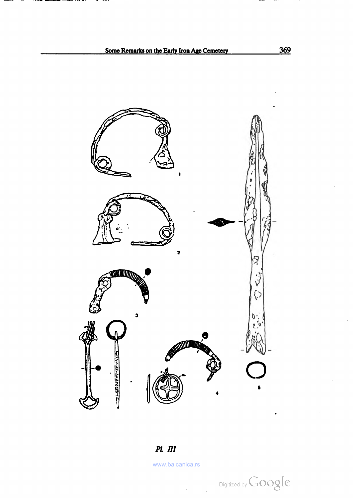



www.balcanica.rs